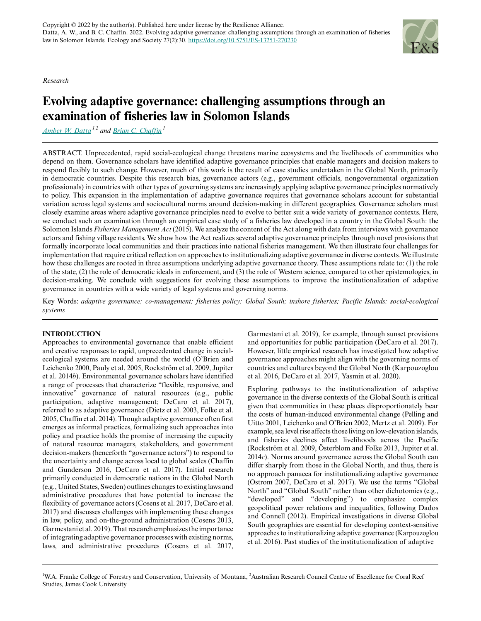*Research*

# **Evolving adaptive governance: challenging assumptions through an examination of fisheries law in Solomon Islands**

*[Amber W. Datta](mailto:amber.datta@my.jcu.edu.au) 1,2 and [Brian C. Chaffin](mailto:brian.chaffin@umontana.edu)<sup>1</sup>*

ABSTRACT. Unprecedented, rapid social-ecological change threatens marine ecosystems and the livelihoods of communities who depend on them. Governance scholars have identified adaptive governance principles that enable managers and decision makers to respond flexibly to such change. However, much of this work is the result of case studies undertaken in the Global North, primarily in democratic countries. Despite this research bias, governance actors (e.g., government officials, nongovernmental organization professionals) in countries with other types of governing systems are increasingly applying adaptive governance principles normatively to policy. This expansion in the implementation of adaptive governance requires that governance scholars account for substantial variation across legal systems and sociocultural norms around decision-making in different geographies. Governance scholars must closely examine areas where adaptive governance principles need to evolve to better suit a wide variety of governance contexts. Here, we conduct such an examination through an empirical case study of a fisheries law developed in a country in the Global South: the Solomon Islands *Fisheries Management Act* (2015). We analyze the content of the Act along with data from interviews with governance actors and fishing village residents. We show how the Act realizes several adaptive governance principles through novel provisions that formally incorporate local communities and their practices into national fisheries management. We then illustrate four challenges for implementation that require critical reflection on approaches to institutionalizing adaptive governance in diverse contexts. We illustrate how these challenges are rooted in three assumptions underlying adaptive governance theory. These assumptions relate to: (1) the role of the state, (2) the role of democratic ideals in enforcement, and (3) the role of Western science, compared to other epistemologies, in decision-making. We conclude with suggestions for evolving these assumptions to improve the institutionalization of adaptive governance in countries with a wide variety of legal systems and governing norms.

Key Words: *adaptive governance; co-management; fisheries policy; Global South; inshore fisheries; Pacific Islands; social-ecological systems*

# **INTRODUCTION**

Approaches to environmental governance that enable efficient and creative responses to rapid, unprecedented change in socialecological systems are needed around the world (O'Brien and Leichenko 2000, Pauly et al. 2005, Rockström et al. 2009, Jupiter et al. 2014*b*). Environmental governance scholars have identified a range of processes that characterize "flexible, responsive, and innovative" governance of natural resources (e.g., public participation, adaptive management; DeCaro et al. 2017), referred to as adaptive governance (Dietz et al. 2003, Folke et al. 2005, Chaffin et al. 2014). Though adaptive governance often first emerges as informal practices, formalizing such approaches into policy and practice holds the promise of increasing the capacity of natural resource managers, stakeholders, and government decision-makers (henceforth "governance actors") to respond to the uncertainty and change across local to global scales (Chaffin and Gunderson 2016, DeCaro et al. 2017). Initial research primarily conducted in democratic nations in the Global North (e.g., United States, Sweden) outlines changes to existing laws and administrative procedures that have potential to increase the flexibility of governance actors (Cosens et al. 2017, DeCaro et al. 2017) and discusses challenges with implementing these changes in law, policy, and on-the-ground administration (Cosens 2013, Garmestani et al. 2019). That research emphasizes the importance of integrating adaptive governance processes with existing norms, laws, and administrative procedures (Cosens et al. 2017,

Garmestani et al. 2019), for example, through sunset provisions and opportunities for public participation (DeCaro et al. 2017). However, little empirical research has investigated how adaptive governance approaches might align with the governing norms of countries and cultures beyond the Global North (Karpouzoglou et al. 2016, DeCaro et al. 2017, Yasmin et al. 2020).

Exploring pathways to the institutionalization of adaptive governance in the diverse contexts of the Global South is critical given that communities in these places disproportionately bear the costs of human-induced environmental change (Pelling and Uitto 2001, Leichenko and O'Brien 2002, Mertz et al. 2009). For example, sea level rise affects those living on low-elevation islands, and fisheries declines affect livelihoods across the Pacific (Rockström et al. 2009, Österblom and Folke 2013, Jupiter et al. 2014*c*). Norms around governance across the Global South can differ sharply from those in the Global North, and thus, there is no approach panacea for institutionalizing adaptive governance (Ostrom 2007, DeCaro et al. 2017). We use the terms "Global North" and "Global South" rather than other dichotomies (e.g., "developed" and "developing") to emphasize complex geopolitical power relations and inequalities, following Dados and Connell (2012). Empirical investigations in diverse Global South geographies are essential for developing context-sensitive approaches to institutionalizing adaptive governance (Karpouzoglou et al. 2016). Past studies of the institutionalization of adaptive



<sup>&</sup>lt;sup>1</sup>W.A. Franke College of Forestry and Conservation, University of Montana, <sup>2</sup>Australian Research Council Centre of Excellence for Coral Reef Studies, James Cook University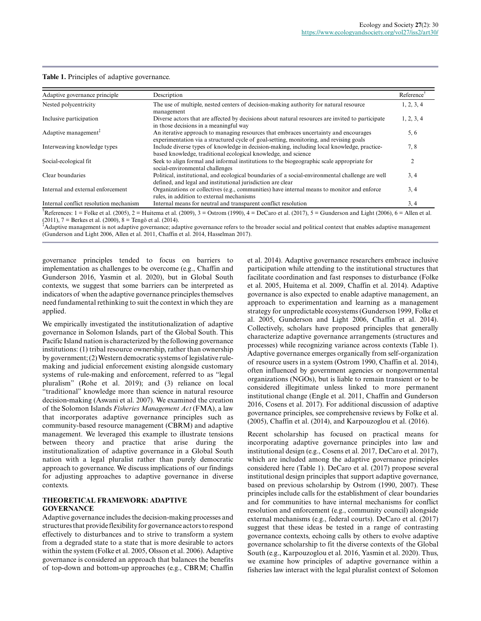| Table 1. Principles of adaptive governance. |  |  |
|---------------------------------------------|--|--|
|---------------------------------------------|--|--|

| Adaptive governance principle          | Description                                                                                                                                                                    | Reference <sup>1</sup> |
|----------------------------------------|--------------------------------------------------------------------------------------------------------------------------------------------------------------------------------|------------------------|
| Nested polycentricity                  | The use of multiple, nested centers of decision-making authority for natural resource<br>management                                                                            |                        |
| Inclusive participation                | Diverse actors that are affected by decisions about natural resources are invited to participate<br>in those decisions in a meaningful way                                     | 1, 2, 3, 4             |
| Adaptive management $\bar{f}$          | An iterative approach to managing resources that embraces uncertainty and encourages<br>experimentation via a structured cycle of goal-setting, monitoring, and revising goals |                        |
| Interweaving knowledge types           | Include diverse types of knowledge in decision-making, including local knowledge, practice-<br>based knowledge, traditional ecological knowledge, and science                  | 7,8                    |
| Social-ecological fit                  | Seek to align formal and informal institutions to the biogeographic scale appropriate for<br>social-environmental challenges                                                   | 2                      |
| Clear boundaries                       | Political, institutional, and ecological boundaries of a social-environmental challenge are well<br>defined, and legal and institutional jurisdiction are clear                | 3, 4                   |
| Internal and external enforcement      | Organizations or collectives (e.g., communities) have internal means to monitor and enforce<br>rules, in addition to external mechanisms                                       | 3, 4                   |
| Internal conflict resolution mechanism | Internal means for neutral and transparent conflict resolution                                                                                                                 | 3, 4                   |

 $^{\dagger}$ References: 1 = Folke et al. (2005), 2 = Huitema et al. (2009), 3 = Ostrom (1990), 4 = DeCaro et al. (2017), 5 = Gunderson and Light (2006), 6 = Allen et al. (2011),  $7 =$  Berkes et al. (2000),  $8 =$  Tengö et al. (2014).

‡Adaptive management is not adaptive governance; adaptive governance refers to the broader social and political context that enables adaptive management (Gunderson and Light 2006, Allen et al. 2011, Chaffin et al. 2014, Hasselman 2017).

governance principles tended to focus on barriers to implementation as challenges to be overcome (e.g., Chaffin and Gunderson 2016, Yasmin et al. 2020), but in Global South contexts, we suggest that some barriers can be interpreted as indicators of when the adaptive governance principles themselves need fundamental rethinking to suit the context in which they are applied.

We empirically investigated the institutionalization of adaptive governance in Solomon Islands, part of the Global South. This Pacific Island nation is characterized by the following governance institutions: (1) tribal resource ownership, rather than ownership by government; (2) Western democratic systems of legislative rulemaking and judicial enforcement existing alongside customary systems of rule-making and enforcement, referred to as "legal pluralism" (Rohe et al. 2019); and (3) reliance on local "traditional" knowledge more than science in natural resource decision-making (Aswani et al. 2007). We examined the creation of the Solomon Islands *Fisheries Management Act* (FMA), a law that incorporates adaptive governance principles such as community-based resource management (CBRM) and adaptive management. We leveraged this example to illustrate tensions between theory and practice that arise during the institutionalization of adaptive governance in a Global South nation with a legal pluralist rather than purely democratic approach to governance. We discuss implications of our findings for adjusting approaches to adaptive governance in diverse contexts.

## **THEORETICAL FRAMEWORK: ADAPTIVE GOVERNANCE**

Adaptive governance includes the decision-making processes and structures that provide flexibility for governance actors to respond effectively to disturbances and to strive to transform a system from a degraded state to a state that is more desirable to actors within the system (Folke et al. 2005, Olsson et al. 2006). Adaptive governance is considered an approach that balances the benefits of top-down and bottom-up approaches (e.g., CBRM; Chaffin et al. 2014). Adaptive governance researchers embrace inclusive participation while attending to the institutional structures that facilitate coordination and fast responses to disturbance (Folke et al. 2005, Huitema et al. 2009, Chaffin et al. 2014). Adaptive governance is also expected to enable adaptive management, an approach to experimentation and learning as a management strategy for unpredictable ecosystems (Gunderson 1999, Folke et al. 2005, Gunderson and Light 2006, Chaffin et al. 2014). Collectively, scholars have proposed principles that generally characterize adaptive governance arrangements (structures and processes) while recognizing variance across contexts (Table 1). Adaptive governance emerges organically from self-organization of resource users in a system (Ostrom 1990, Chaffin et al. 2014), often influenced by government agencies or nongovernmental organizations (NGOs), but is liable to remain transient or to be considered illegitimate unless linked to more permanent institutional change (Engle et al. 2011, Chaffin and Gunderson 2016, Cosens et al. 2017). For additional discussion of adaptive governance principles, see comprehensive reviews by Folke et al. (2005), Chaffin et al. (2014), and Karpouzoglou et al. (2016).

Recent scholarship has focused on practical means for incorporating adaptive governance principles into law and institutional design (e.g., Cosens et al. 2017, DeCaro et al. 2017), which are included among the adaptive governance principles considered here (Table 1). DeCaro et al. (2017) propose several institutional design principles that support adaptive governance, based on previous scholarship by Ostrom (1990, 2007). These principles include calls for the establishment of clear boundaries and for communities to have internal mechanisms for conflict resolution and enforcement (e.g., community council) alongside external mechanisms (e.g., federal courts). DeCaro et al. (2017) suggest that these ideas be tested in a range of contrasting governance contexts, echoing calls by others to evolve adaptive governance scholarship to fit the diverse contexts of the Global South (e.g., Karpouzoglou et al. 2016, Yasmin et al. 2020). Thus, we examine how principles of adaptive governance within a fisheries law interact with the legal pluralist context of Solomon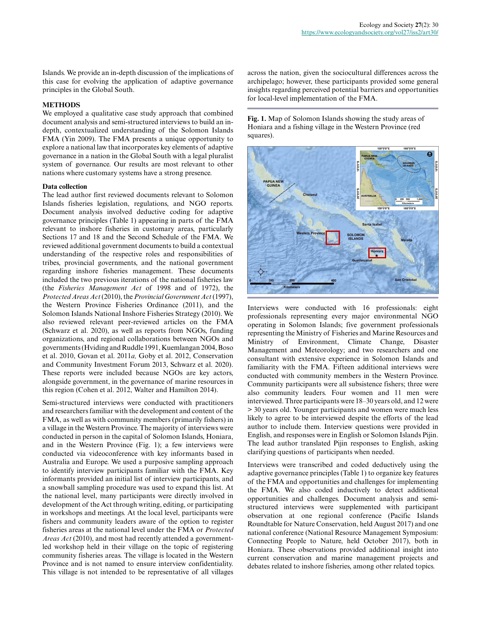Islands. We provide an in-depth discussion of the implications of this case for evolving the application of adaptive governance principles in the Global South.

## **METHODS**

We employed a qualitative case study approach that combined document analysis and semi-structured interviews to build an indepth, contextualized understanding of the Solomon Islands FMA (Yin 2009). The FMA presents a unique opportunity to explore a national law that incorporates key elements of adaptive governance in a nation in the Global South with a legal pluralist system of governance. Our results are most relevant to other nations where customary systems have a strong presence.

### **Data collection**

The lead author first reviewed documents relevant to Solomon Islands fisheries legislation, regulations, and NGO reports. Document analysis involved deductive coding for adaptive governance principles (Table 1) appearing in parts of the FMA relevant to inshore fisheries in customary areas, particularly Sections 17 and 18 and the Second Schedule of the FMA. We reviewed additional government documents to build a contextual understanding of the respective roles and responsibilities of tribes, provincial governments, and the national government regarding inshore fisheries management. These documents included the two previous iterations of the national fisheries law (the *Fisheries Management Act* of 1998 and of 1972), the *Protected Areas Act* (2010), the *Provincial Government Act* (1997), the Western Province Fisheries Ordinance (2011), and the Solomon Islands National Inshore Fisheries Strategy (2010). We also reviewed relevant peer-reviewed articles on the FMA (Schwarz et al. 2020), as well as reports from NGOs, funding organizations, and regional collaborations between NGOs and governments (Hviding and Ruddle 1991, Kuemlangan 2004, Boso et al. 2010, Govan et al. 2011*a,* Goby et al. 2012, Conservation and Community Investment Forum 2013, Schwarz et al. 2020). These reports were included because NGOs are key actors, alongside government, in the governance of marine resources in this region (Cohen et al. 2012, Walter and Hamilton 2014).

Semi-structured interviews were conducted with practitioners and researchers familiar with the development and content of the FMA, as well as with community members (primarily fishers) in a village in the Western Province. The majority of interviews were conducted in person in the capital of Solomon Islands, Honiara, and in the Western Province (Fig. 1); a few interviews were conducted via videoconference with key informants based in Australia and Europe. We used a purposive sampling approach to identify interview participants familiar with the FMA. Key informants provided an initial list of interview participants, and a snowball sampling procedure was used to expand this list. At the national level, many participants were directly involved in development of the Act through writing, editing, or participating in workshops and meetings. At the local level, participants were fishers and community leaders aware of the option to register fisheries areas at the national level under the FMA or *Protected Areas Act* (2010), and most had recently attended a governmentled workshop held in their village on the topic of registering community fisheries areas. The village is located in the Western Province and is not named to ensure interview confidentiality. This village is not intended to be representative of all villages

across the nation, given the sociocultural differences across the archipelago; however, these participants provided some general insights regarding perceived potential barriers and opportunities for local-level implementation of the FMA.

**Fig. 1.** Map of Solomon Islands showing the study areas of Honiara and a fishing village in the Western Province (red squares).



Interviews were conducted with 16 professionals: eight professionals representing every major environmental NGO operating in Solomon Islands; five government professionals representing the Ministry of Fisheries and Marine Resources and Ministry of Environment, Climate Change, Disaster Management and Meteorology; and two researchers and one consultant with extensive experience in Solomon Islands and familiarity with the FMA. Fifteen additional interviews were conducted with community members in the Western Province. Community participants were all subsistence fishers; three were also community leaders. Four women and 11 men were interviewed. Three participants were 18–30 years old, and 12 were > 30 years old. Younger participants and women were much less likely to agree to be interviewed despite the efforts of the lead author to include them. Interview questions were provided in English, and responses were in English or Solomon Islands Pijin. The lead author translated Pijin responses to English, asking clarifying questions of participants when needed.

Interviews were transcribed and coded deductively using the adaptive governance principles (Table 1) to organize key features of the FMA and opportunities and challenges for implementing the FMA. We also coded inductively to detect additional opportunities and challenges. Document analysis and semistructured interviews were supplemented with participant observation at one regional conference (Pacific Islands Roundtable for Nature Conservation, held August 2017) and one national conference (National Resource Management Symposium: Connecting People to Nature, held October 2017), both in Honiara. These observations provided additional insight into current conservation and marine management projects and debates related to inshore fisheries, among other related topics.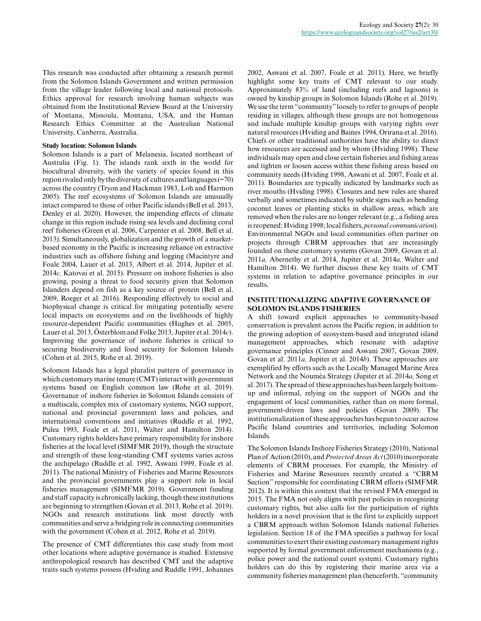This research was conducted after obtaining a research permit from the Solomon Islands Government and written permission from the village leader following local and national protocols. Ethics approval for research involving human subjects was obtained from the Institutional Review Board at the University of Montana, Missoula, Montana, USA, and the Human Research Ethics Committee at the Australian National University, Canberra, Australia.

#### **Study location: Solomon Islands**

Solomon Islands is a part of Melanesia, located northeast of Australia (Fig. 1). The islands rank sixth in the world for biocultural diversity, with the variety of species found in this region rivaled only by the diversity of cultures and languages (~70) across the country (Tryon and Hackman 1983, Loh and Harmon 2005). The reef ecosystems of Solomon Islands are unusually intact compared to those of other Pacific islands (Bell et al. 2013, Denley et al. 2020). However, the impending effects of climate change in this region include rising sea levels and declining coral reef fisheries (Green et al. 2006, Carpenter et al. 2008, Bell et al. 2013). Simultaneously, globalization and the growth of a marketbased economy in the Pacific is increasing reliance on extractive industries such as offshore fishing and logging (Macintyre and Foale 2004, Lauer et al. 2013, Albert et al. 2014, Jupiter et al. 2014*c,* Katovai et al. 2015). Pressure on inshore fisheries is also growing, posing a threat to food security given that Solomon Islanders depend on fish as a key source of protein (Bell et al. 2009, Roeger et al. 2016). Responding effectively to social and biophysical change is critical for mitigating potentially severe local impacts on ecosystems and on the livelihoods of highly resource-dependent Pacific communities (Hughes et al. 2005, Lauer et al. 2013, Österblom and Folke 2013, Jupiter et al. 2014*c*). Improving the governance of inshore fisheries is critical to securing biodiversity and food security for Solomon Islands (Cohen et al. 2015, Rohe et al. 2019).

Solomon Islands has a legal pluralist pattern of governance in which customary marine tenure (CMT) interact with government systems based on English common law (Rohe et al. 2019). Governance of inshore fisheries in Solomon Islands consists of a multiscale, complex mix of customary systems, NGO support, national and provincial government laws and policies, and international conventions and initiatives (Ruddle et al. 1992, Pulea 1993, Foale et al. 2011, Walter and Hamilton 2014). Customary rights holders have primary responsibility for inshore fisheries at the local level (SIMFMR 2019), though the structure and strength of these long-standing CMT systems varies across the archipelago (Ruddle et al. 1992, Aswani 1999, Foale et al. 2011). The national Ministry of Fisheries and Marine Resources and the provincial governments play a support role in local fisheries management (SIMFMR 2019). Government funding and staff capacity is chronically lacking, though these institutions are beginning to strengthen (Govan et al. 2013, Rohe et al. 2019). NGOs and research institutions link most directly with communities and serve a bridging role in connecting communities with the government (Cohen et al. 2012, Rohe et al. 2019).

The presence of CMT differentiates this case study from most other locations where adaptive governance is studied. Extensive anthropological research has described CMT and the adaptive traits such systems possess (Hviding and Ruddle 1991, Johannes 2002, Aswani et al. 2007, Foale et al. 2011). Here, we briefly highlight some key traits of CMT relevant to our study. Approximately 83% of land (including reefs and lagoons) is owned by kinship groups in Solomon Islands (Rohe et al. 2019). We use the term "community" loosely to refer to groups of people residing in villages, although these groups are not homogenous and include multiple kinship groups with varying rights over natural resources (Hviding and Baines 1994, Orirana et al. 2016). Chiefs or other traditional authorities have the ability to direct how resources are accessed and by whom (Hviding 1998). These individuals may open and close certain fisheries and fishing areas and tighten or loosen access within these fishing areas based on community needs (Hviding 1998, Aswani et al. 2007, Foale et al. 2011). Boundaries are typically indicated by landmarks such as river mouths (Hviding 1998). Closures and new rules are shared verbally and sometimes indicated by subtle signs such as bending coconut leaves or planting sticks in shallow areas, which are removed when the rules are no longer relevant (e.g., a fishing area is reopened; Hviding 1998; local fishers, *personal communication*). Environmental NGOs and local communities often partner on projects through CBRM approaches that are increasingly founded on these customary systems (Govan 2009, Govan et al. 2011*a,* Abernethy et al. 2014, Jupiter et al. 2014*a,* Walter and Hamilton 2014). We further discuss these key traits of CMT systems in relation to adaptive governance principles in our results.

## **INSTITUTIONALIZING ADAPTIVE GOVERNANCE OF SOLOMON ISLANDS FISHERIES**

A shift toward explicit approaches to community-based conservation is prevalent across the Pacific region, in addition to the growing adoption of ecosystem-based and integrated island management approaches, which resonate with adaptive governance principles (Cinner and Aswani 2007, Govan 2009, Govan et al. 2011*a,* Jupiter et al. 2014*b*). These approaches are exemplified by efforts such as the Locally Managed Marine Area Network and the Nouméa Strategy (Jupiter et al. 2014*a,* Song et al. 2017). The spread of these approaches has been largely bottomup and informal, relying on the support of NGOs and the engagement of local communities, rather than on more formal, government-driven laws and policies (Govan 2009). The institutionalization of these approaches has begun to occur across Pacific Island countries and territories, including Solomon Islands.

The Solomon Islands Inshore Fisheries Strategy (2010), National Plan of Action (2010), and *Protected Areas Act* (2010) incorporate elements of CBRM processes. For example, the Ministry of Fisheries and Marine Resources recently created a "CBRM Section" responsible for coordinating CBRM efforts (SIMFMR 2012). It is within this context that the revised FMA emerged in 2015. The FMA not only aligns with past policies in recognizing customary rights, but also calls for the participation of rights holders in a novel provision that is the first to explicitly support a CBRM approach within Solomon Islands national fisheries legislation. Section 18 of the FMA specifies a pathway for local communities to exert their existing customary management rights supported by formal government enforcement mechanisms (e.g., police power and the national court system). Customary rights holders can do this by registering their marine area via a community fisheries management plan (henceforth, "community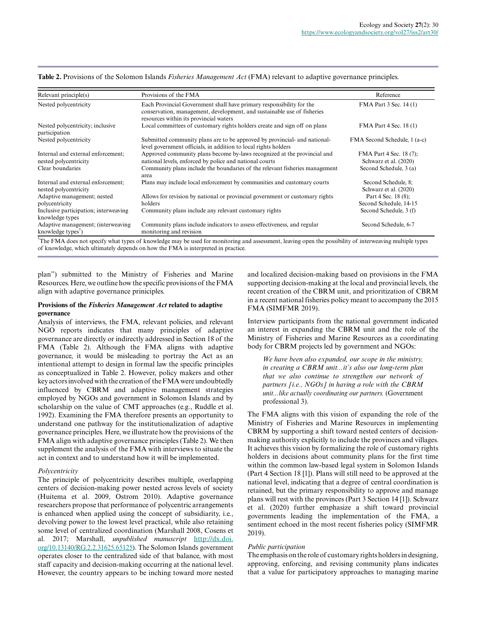| Relevant principle(s)                                                | Provisions of the FMA                                                                                                                                                                     | Reference                                        |
|----------------------------------------------------------------------|-------------------------------------------------------------------------------------------------------------------------------------------------------------------------------------------|--------------------------------------------------|
| Nested polycentricity                                                | Each Provincial Government shall have primary responsibility for the<br>conservation, management, development, and sustainable use of fisheries<br>resources within its provincial waters | FMA Part 3 Sec. 14 (1)                           |
| Nested polycentricity; inclusive<br>participation                    | Local committees of customary rights holders create and sign off on plans                                                                                                                 | FMA Part 4 Sec. 18 (1)                           |
| Nested polycentricity                                                | Submitted community plans are to be approved by provincial- and national-<br>level government officials, in addition to local rights holders                                              | FMA Second Schedule, 1 (a-c)                     |
| Internal and external enforcement;<br>nested polycentricity          | Approved community plans become by-laws recognized at the provincial and<br>national levels, enforced by police and national courts                                                       | FMA Part 4 Sec. 18 (7);<br>Schwarz et al. (2020) |
| Clear boundaries                                                     | Community plans include the boundaries of the relevant fisheries management<br>area                                                                                                       | Second Schedule, 3 (a)                           |
| Internal and external enforcement;<br>nested polycentricity          | Plans may include local enforcement by communities and customary courts                                                                                                                   | Second Schedule, 8;<br>Schwarz et al. (2020)     |
| Adaptive management; nested<br>polycentricity                        | Allows for revision by national or provincial government or customary rights<br>holders                                                                                                   | Part 4 Sec. 18 (8);<br>Second Schedule, 14-15    |
| Inclusive participation; interweaving<br>knowledge types             | Community plans include any relevant customary rights                                                                                                                                     | Second Schedule, 3 (f)                           |
| Adaptive management; (interweaving<br>knowledge types <sup>T</sup> ) | Community plans include indicators to assess effectiveness, and regular<br>monitoring and revision                                                                                        | Second Schedule, 6-7                             |

**Table 2.** Provisions of the Solomon Islands *Fisheries Management Act* (FMA) relevant to adaptive governance principles.

The FMA does not specify what types of knowledge may be used for monitoring and assessment, leaving open the possibility of interweaving multiple types of knowledge, which ultimately depends on how the FMA is interpreted in practice.

plan") submitted to the Ministry of Fisheries and Marine Resources. Here, we outline how the specific provisions of the FMA align with adaptive governance priniciples.

### **Provisions of the** *Fisheries Management Act* **related to adaptive governance**

Analysis of interviews, the FMA, relevant policies, and relevant NGO reports indicates that many principles of adaptive governance are directly or indirectly addressed in Section 18 of the FMA (Table 2). Although the FMA aligns with adaptive governance, it would be misleading to portray the Act as an intentional attempt to design in formal law the specific principles as conceptualized in Table 2. However, policy makers and other key actors involved with the creation of the FMA were undoubtedly influenced by CBRM and adaptive management strategies employed by NGOs and government in Solomon Islands and by scholarship on the value of CMT approaches (e.g., Ruddle et al. 1992). Examining the FMA therefore presents an opportunity to understand one pathway for the institutionalization of adaptive governance principles. Here, we illustrate how the provisions of the FMA align with adaptive governance principles (Table 2). We then supplement the analysis of the FMA with interviews to situate the act in context and to understand how it will be implemented.

# *Polycentricity*

The principle of polycentricity describes multiple, overlapping centers of decision-making power nested across levels of society (Huitema et al. 2009, Ostrom 2010). Adaptive governance researchers propose that performance of polycentric arrangements is enhanced when applied using the concept of subsidiarity, i.e., devolving power to the lowest level practical, while also retaining some level of centralized coordination (Marshall 2008, Cosens et al. 2017; Marshall, *unpublished manuscript* [http://dx.doi.](http://dx.doi.org/10.13140/RG.2.2.31625.65125) [org/10.13140/RG.2.2.31625.65125\)](http://dx.doi.org/10.13140/RG.2.2.31625.65125). The Solomon Islands government operates closer to the centralized side of that balance, with most staff capacity and decision-making occurring at the national level. However, the country appears to be inching toward more nested

and localized decision-making based on provisions in the FMA supporting decision-making at the local and provincial levels, the recent creation of the CBRM unit, and prioritization of CBRM in a recent national fisheries policy meant to accompany the 2015 FMA (SIMFMR 2019).

Interview participants from the national government indicated an interest in expanding the CBRM unit and the role of the Ministry of Fisheries and Marine Resources as a coordinating body for CBRM projects led by government and NGOs:

*We have been also expanded, our scope in the ministry, in creating a CBRM unit...it's also our long-term plan that we also continue to strengthen our network of partners [i.e., NGOs] in having a role with the CBRM unit...like actually coordinating our partners.* (Government professional 3).

The FMA aligns with this vision of expanding the role of the Ministry of Fisheries and Marine Resources in implementing CBRM by supporting a shift toward nested centers of decisionmaking authority explicitly to include the provinces and villages. It achieves this vision by formalizing the role of customary rights holders in decisions about community plans for the first time within the common law-based legal system in Solomon Islands (Part 4 Section 18 [1]). Plans will still need to be approved at the national level, indicating that a degree of central coordination is retained, but the primary responsibility to approve and manage plans will rest with the provinces (Part 3 Section 14 [1]). Schwarz et al. (2020) further emphasize a shift toward provincial governments leading the implementation of the FMA, a sentiment echoed in the most recent fisheries policy (SIMFMR 2019).

### *Public participation*

The emphasis on the role of customary rights holders in designing, approving, enforcing, and revising community plans indicates that a value for participatory approaches to managing marine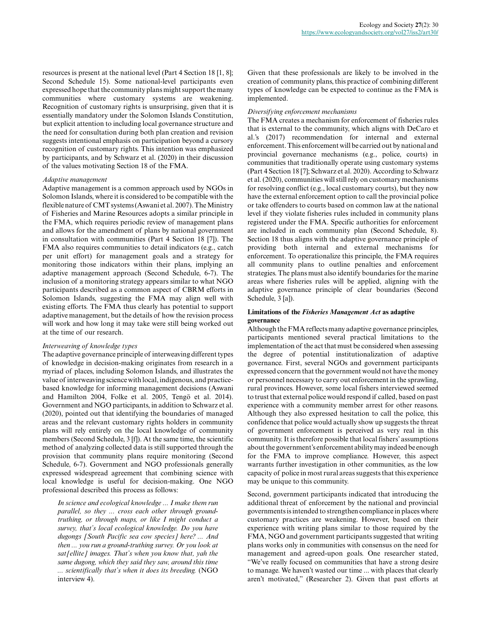resources is present at the national level (Part 4 Section 18 [1, 8]; Second Schedule 15). Some national-level participants even expressed hope that the community plans might support the many communities where customary systems are weakening. Recognition of customary rights is unsurprising, given that it is essentially mandatory under the Solomon Islands Constitution, but explicit attention to including local governance structure and the need for consultation during both plan creation and revision suggests intentional emphasis on participation beyond a cursory recognition of customary rights. This intention was emphasized by participants, and by Schwarz et al. (2020) in their discussion of the values motivating Section 18 of the FMA.

### *Adaptive management*

Adaptive management is a common approach used by NGOs in Solomon Islands, where it is considered to be compatible with the flexible nature of CMT systems (Aswani et al. 2007). The Ministry of Fisheries and Marine Resources adopts a similar principle in the FMA, which requires periodic review of management plans and allows for the amendment of plans by national government in consultation with communities (Part 4 Section 18 [7]). The FMA also requires communities to detail indicators (e.g., catch per unit effort) for management goals and a strategy for monitoring those indicators within their plans, implying an adaptive management approach (Second Schedule, 6-7). The inclusion of a monitoring strategy appears similar to what NGO participants described as a common aspect of CBRM efforts in Solomon Islands, suggesting the FMA may align well with existing efforts. The FMA thus clearly has potential to support adaptive management, but the details of how the revision process will work and how long it may take were still being worked out at the time of our research.

## *Interweaving of knowledge types*

The adaptive governance principle of interweaving different types of knowledge in decision-making originates from research in a myriad of places, including Solomon Islands, and illustrates the value of interweaving science with local, indigenous, and practicebased knowledge for informing management decisions (Aswani and Hamilton 2004, Folke et al. 2005, Tengö et al. 2014). Government and NGO participants, in addition to Schwarz et al. (2020), pointed out that identifying the boundaries of managed areas and the relevant customary rights holders in community plans will rely entirely on the local knowledge of community members (Second Schedule, 3 [f]). At the same time, the scientific method of analyzing collected data is still supported through the provision that community plans require monitoring (Second Schedule, 6-7). Government and NGO professionals generally expressed widespread agreement that combining science with local knowledge is useful for decision-making. One NGO professional described this process as follows:

*In science and ecological knowledge ... I make them run parallel, so they ... cross each other through groundtruthing, or through maps, or like I might conduct a survey, that's local ecological knowledge. Do you have dugongs [South Pacific sea cow species] here? ... And then ... you run a ground-truthing survey. Or you look at sat[ellite] images. That's when you know that, yah the same dugong, which they said they saw, around this time ... scientifically that's when it does its breeding.* (NGO interview 4).

Given that these professionals are likely to be involved in the creation of community plans, this practice of combining different types of knowledge can be expected to continue as the FMA is implemented.

#### *Diversifying enforcement mechanisms*

The FMA creates a mechanism for enforcement of fisheries rules that is external to the community, which aligns with DeCaro et al.'s (2017) recommendation for internal and external enforcement. This enforcement will be carried out by national and provincial governance mechanisms (e.g., police, courts) in communities that traditionally operate using customary systems (Part 4 Section 18 [7]; Schwarz et al. 2020). According to Schwarz et al. (2020), communities will still rely on customary mechanisms for resolving conflict (e.g., local customary courts), but they now have the external enforcement option to call the provincial police or take offenders to courts based on common law at the national level if they violate fisheries rules included in community plans registered under the FMA. Specific authorities for enforcement are included in each community plan (Second Schedule, 8). Section 18 thus aligns with the adaptive governance principle of providing both internal and external mechanisms for enforcement. To operationalize this principle, the FMA requires all community plans to outline penalties and enforcement strategies. The plans must also identify boundaries for the marine areas where fisheries rules will be applied, aligning with the adaptive governance principle of clear boundaries (Second Schedule,  $3$  [a]).

### **Limitations of the** *Fisheries Management Act* **as adaptive governance**

Although the FMA reflects many adaptive governance principles, participants mentioned several practical limitations to the implementation of the act that must be considered when assessing the degree of potential institutionalization of adaptive governance. First, several NGOs and government participants expressed concern that the government would not have the money or personnel necessary to carry out enforcement in the sprawling, rural provinces. However, some local fishers interviewed seemed to trust that external police would respond if called, based on past experience with a community member arrest for other reasons. Although they also expressed hesitation to call the police, this confidence that police would actually show up suggests the threat of government enforcement is perceived as very real in this community. It is therefore possible that local fishers' assumptions about the government's enforcement ability may indeed be enough for the FMA to improve compliance. However, this aspect warrants further investigation in other communities, as the low capacity of police in most rural areas suggests that this experience may be unique to this community.

Second, government participants indicated that introducing the additional threat of enforcement by the national and provincial governments is intended to strengthen compliance in places where customary practices are weakening. However, based on their experience with writing plans similar to those required by the FMA, NGO and government participants suggested that writing plans works only in communities with consensus on the need for management and agreed-upon goals. One researcher stated, "We've really focused on communities that have a strong desire to manage. We haven't wasted our time ... with places that clearly aren't motivated," (Researcher 2). Given that past efforts at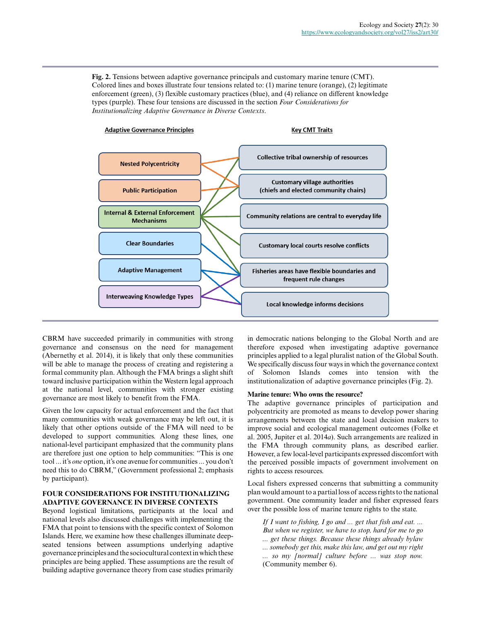**Fig. 2.** Tensions between adaptive governance principals and customary marine tenure (CMT). Colored lines and boxes illustrate four tensions related to: (1) marine tenure (orange), (2) legitimate enforcement (green), (3) flexible customary practices (blue), and (4) reliance on different knowledge types (purple). These four tensions are discussed in the section *Four Considerations for Institutionalizing Adaptive Governance in Diverse Contexts*.



CBRM have succeeded primarily in communities with strong governance and consensus on the need for management (Abernethy et al. 2014), it is likely that only these communities will be able to manage the process of creating and registering a formal community plan. Although the FMA brings a slight shift toward inclusive participation within the Western legal approach at the national level, communities with stronger existing governance are most likely to benefit from the FMA.

Given the low capacity for actual enforcement and the fact that many communities with weak governance may be left out, it is likely that other options outside of the FMA will need to be developed to support communities. Along these lines, one national-level participant emphasized that the community plans are therefore just one option to help communities: "This is one tool ... it's *one* option, it's one avenue for communities ... you don't need this to do CBRM," (Government professional 2; emphasis by participant).

# **FOUR CONSIDERATIONS FOR INSTITUTIONALIZING ADAPTIVE GOVERNANCE IN DIVERSE CONTEXTS**

Beyond logistical limitations, participants at the local and national levels also discussed challenges with implementing the FMA that point to tensions with the specific context of Solomon Islands. Here, we examine how these challenges illuminate deepseated tensions between assumptions underlying adaptive governance principles and the sociocultural context in which these principles are being applied. These assumptions are the result of building adaptive governance theory from case studies primarily

in democratic nations belonging to the Global North and are therefore exposed when investigating adaptive governance principles applied to a legal pluralist nation of the Global South. We specifically discuss four ways in which the governance context of Solomon Islands comes into tension with the institutionalization of adaptive governance principles (Fig. 2).

# **Marine tenure: Who owns the resource?**

The adaptive governance principles of participation and polycentricity are promoted as means to develop power sharing arrangements between the state and local decision makers to improve social and ecological management outcomes (Folke et al. 2005, Jupiter et al. 2014*a*). Such arrangements are realized in the FMA through community plans, as described earlier. However, a few local-level participants expressed discomfort with the perceived possible impacts of government involvement on rights to access resources.

Local fishers expressed concerns that submitting a community plan would amount to a partial loss of access rights to the national government. One community leader and fisher expressed fears over the possible loss of marine tenure rights to the state.

*If I want to fishing, I go and ... get that fish and eat. ... But when we register, we have to stop, hard for me to go ... get these things. Because these things already bylaw ... somebody get this, make this law, and get out my right ... so my [normal] culture before ... was stop now.* (Community member 6).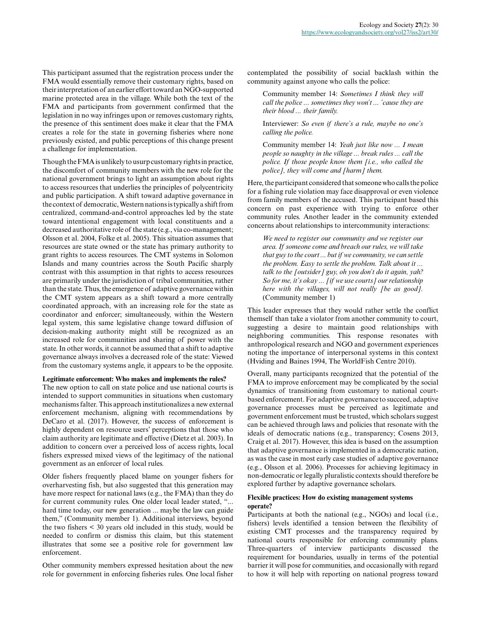This participant assumed that the registration process under the FMA would essentially remove their customary rights, based on their interpretation of an earlier effort toward an NGO-supported marine protected area in the village. While both the text of the FMA and participants from government confirmed that the legislation in no way infringes upon or removes customary rights, the presence of this sentiment does make it clear that the FMA creates a role for the state in governing fisheries where none previously existed, and public perceptions of this change present a challenge for implementation.

Though the FMA is unlikely to usurp customary rights in practice, the discomfort of community members with the new role for the national government brings to light an assumption about rights to access resources that underlies the principles of polycentricity and public participation. A shift toward adaptive governance in the context of democratic, Western nations is typically a shift from centralized, command-and-control approaches led by the state toward intentional engagement with local constituents and a decreased authoritative role of the state (e.g., via co-management; Olsson et al. 2004, Folke et al. 2005). This situation assumes that resources are state owned or the state has primary authority to grant rights to access resources. The CMT systems in Solomon Islands and many countries across the South Pacific sharply contrast with this assumption in that rights to access resources are primarily under the jurisdiction of tribal communities, rather than the state. Thus, the emergence of adaptive governance within the CMT system appears as a shift toward a more centrally coordinated approach, with an increasing role for the state as coordinator and enforcer; simultaneously, within the Western legal system, this same legislative change toward diffusion of decision-making authority might still be recognized as an increased role for communities and sharing of power with the state. In other words, it cannot be assumed that a shift to adaptive governance always involves a decreased role of the state: Viewed from the customary systems angle, it appears to be the opposite.

### **Legitimate enforcement: Who makes and implements the rules?**

The new option to call on state police and use national courts is intended to support communities in situations when customary mechanisms falter. This approach institutionalizes a new external enforcement mechanism, aligning with recommendations by DeCaro et al. (2017). However, the success of enforcement is highly dependent on resource users' perceptions that those who claim authority are legitimate and effective (Dietz et al. 2003). In addition to concern over a perceived loss of access rights, local fishers expressed mixed views of the legitimacy of the national government as an enforcer of local rules.

Older fishers frequently placed blame on younger fishers for overharvesting fish, but also suggested that this generation may have more respect for national laws (e.g., the FMA) than they do for current community rules. One older local leader stated, "... hard time today, our new generation ... maybe the law can guide them," (Community member 1). Additional interviews, beyond the two fishers < 30 years old included in this study, would be needed to confirm or dismiss this claim, but this statement illustrates that some see a positive role for government law enforcement.

Other community members expressed hesitation about the new role for government in enforcing fisheries rules. One local fisher contemplated the possibility of social backlash within the community against anyone who calls the police:

Community member 14: *Sometimes I think they will call the police ... sometimes they won't ... 'cause they are their blood ... their family.*

Interviewer: *So even if there's a rule, maybe no one's calling the police.*

Community member 14: *Yeah just like now ... I mean people so naughty in the village ... break rules ... call the police. If those people know them [i.e., who called the police], they will come and [harm] them.*

Here, the participant considered that someone who calls the police for a fishing rule violation may face disapproval or even violence from family members of the accused. This participant based this concern on past experience with trying to enforce other community rules. Another leader in the community extended concerns about relationships to intercommunity interactions:

*We need to register our community and we register our area. If someone come and breach our rules, we will take that guy to the court ... but if we community, we can settle the problem. Easy to settle the problem. Talk about it ... talk to the [outsider] guy, oh you don't do it again, yah? So for me, it's okay ... [if we use courts] our relationship here with the villages, will not really [be as good].* (Community member 1)

This leader expresses that they would rather settle the conflict themself than take a violator from another community to court, suggesting a desire to maintain good relationships with neighboring communities. This response resonates with anthropological research and NGO and government experiences noting the importance of interpersonal systems in this context (Hviding and Baines 1994, The WorldFish Centre 2010).

Overall, many participants recognized that the potential of the FMA to improve enforcement may be complicated by the social dynamics of transitioning from customary to national courtbased enforcement. For adaptive governance to succeed, adaptive governance processes must be perceived as legitimate and government enforcement must be trusted, which scholars suggest can be achieved through laws and policies that resonate with the ideals of democratic nations (e.g., transparency; Cosens 2013, Craig et al. 2017). However, this idea is based on the assumption that adaptive governance is implemented in a democratic nation, as was the case in most early case studies of adaptive governance (e.g., Olsson et al. 2006). Processes for achieving legitimacy in non-democratic or legally pluralistic contexts should therefore be explored further by adaptive governance scholars.

## **Flexible practices: How do existing management systems operate?**

Participants at both the national (e.g., NGOs) and local (i.e., fishers) levels identified a tension between the flexibility of existing CMT processes and the transparency required by national courts responsible for enforcing community plans. Three-quarters of interview participants discussed the requirement for boundaries, usually in terms of the potential barrier it will pose for communities, and occasionally with regard to how it will help with reporting on national progress toward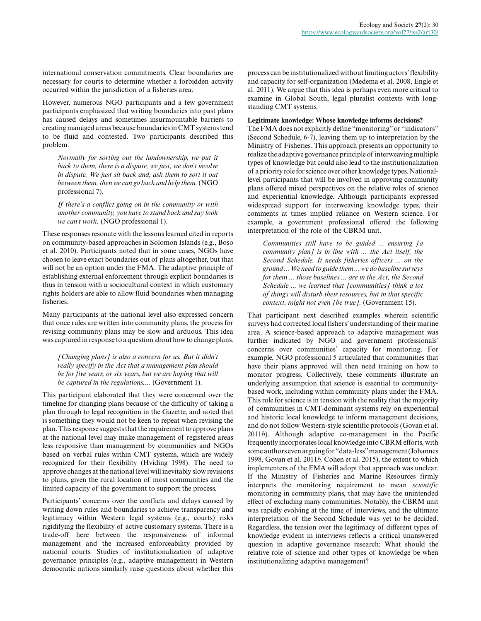international conservation commitments. Clear boundaries are necessary for courts to determine whether a forbidden activity occurred within the jurisdiction of a fisheries area.

However, numerous NGO participants and a few government participants emphasized that writing boundaries into past plans has caused delays and sometimes insurmountable barriers to creating managed areas because boundaries in CMT systems tend to be fluid and contested. Two participants described this problem.

*Normally for sorting out the landownership, we put it back to them, there is a dispute, we just, we don't involve in dispute. We just sit back and, ask them to sort it out between them, then we can go back and help them.* (NGO professional 7).

*If there's a conflict going on in the community or with another community, you have to stand back and say look we can't work.* (NGO professional 1).

These responses resonate with the lessons learned cited in reports on community-based approaches in Solomon Islands (e.g., Boso et al. 2010). Participants noted that in some cases, NGOs have chosen to leave exact boundaries out of plans altogether, but that will not be an option under the FMA. The adaptive principle of establishing external enforcement through explicit boundaries is thus in tension with a sociocultural context in which customary rights holders are able to allow fluid boundaries when managing fisheries.

Many participants at the national level also expressed concern that once rules are written into community plans, the process for revising community plans may be slow and arduous. This idea was captured in response to a question about how to change plans.

*[Changing plans] is also a concern for us. But it didn't really specify in the Act that a management plan should be for five years, or six years, but we are hoping that will be captured in the regulations....* (Government 1).

This participant elaborated that they were concerned over the timeline for changing plans because of the difficulty of taking a plan through to legal recognition in the Gazette, and noted that is something they would not be keen to repeat when revising the plan. This response suggests that the requirement to approve plans at the national level may make management of registered areas less responsive than management by communities and NGOs based on verbal rules within CMT systems, which are widely recognized for their flexibility (Hviding 1998). The need to approve changes at the national level will inevitably slow revisions to plans, given the rural location of most communities and the limited capacity of the government to support the process.

Participants' concerns over the conflicts and delays caused by writing down rules and boundaries to achieve transparency and legitimacy within Western legal systems (e.g., courts) risks rigidifying the flexibility of active customary systems. There is a trade-off here between the responsiveness of informal management and the increased enforceability provided by national courts. Studies of institutionalization of adaptive governance principles (e.g., adaptive management) in Western democratic nations similarly raise questions about whether this process can be institutionalized without limiting actors' flexibility and capacity for self-organization (Medema et al. 2008, Engle et al. 2011). We argue that this idea is perhaps even more critical to examine in Global South, legal pluralist contexts with longstanding CMT systems.

## **Legitimate knowledge: Whose knowledge informs decisions?**

The FMA does not explicitly define "monitoring" or "indicators" (Second Schedule, 6-7), leaving them up to interpretation by the Ministry of Fisheries. This approach presents an opportunity to realize the adaptive governance principle of interweaving multiple types of knowledge but could also lead to the institutionalization of a priority role for science over other knowledge types. Nationallevel participants that will be involved in approving community plans offered mixed perspectives on the relative roles of science and experiential knowledge. Although participants expressed widespread support for interweaving knowledge types, their comments at times implied reliance on Western science. For example, a government professional offered the following interpretation of the role of the CBRM unit.

*Communities still have to be guided ... ensuring [a community plan] is in line with ... the Act itself, the Second Schedule. It needs fisheries officers ... on the ground ... We need to guide them ... we do baseline surveys for them ... those baselines ... are in the Act, the Second Schedule ... we learned that [communities] think a lot of things will disturb their resources, but in that specific context, might not even [be true].* (Government 15).

That participant next described examples wherein scientific surveys had corrected local fishers' understanding of their marine area. A science-based approach to adaptive management was further indicated by NGO and government professionals' concerns over communities' capacity for monitoring. For example, NGO professional 5 articulated that communities that have their plans approved will then need training on how to monitor progress. Collectively, these comments illustrate an underlying assumption that science is essential to communitybased work, including within community plans under the FMA. This role for science is in tension with the reality that the majority of communities in CMT-dominant systems rely on experiential and historic local knowledge to inform management decisions, and do not follow Western-style scientific protocols (Govan et al. 2011*b*). Although adaptive co-management in the Pacific frequently incorporates local knowledge into CBRM efforts, with some authors even arguing for "data-less" management (Johannes 1998, Govan et al. 2011*b,* Cohen et al. 2015), the extent to which implementers of the FMA will adopt that approach was unclear. If the Ministry of Fisheries and Marine Resources firmly interprets the monitoring requirement to mean *scientific* monitoring in community plans, that may have the unintended effect of excluding many communities. Notably, the CBRM unit was rapidly evolving at the time of interviews, and the ultimate interpretation of the Second Schedule was yet to be decided. Regardless, the tension over the legitimacy of different types of knowledge evident in interviews reflects a critical unanswered question in adaptive governance research: What should the relative role of science and other types of knowledge be when institutionalizing adaptive management?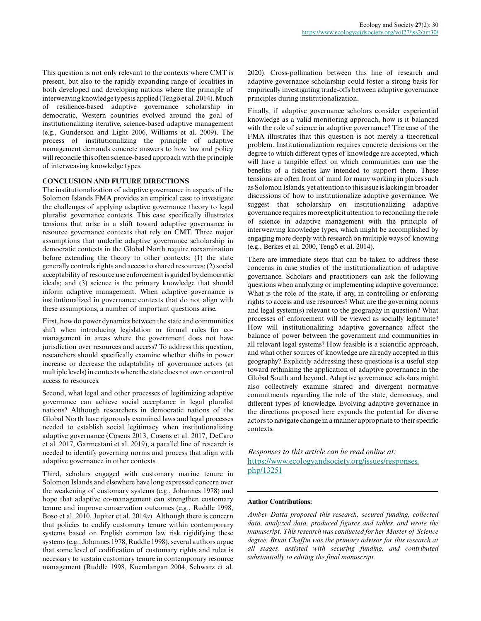This question is not only relevant to the contexts where CMT is present, but also to the rapidly expanding range of localities in both developed and developing nations where the principle of interweaving knowledge types is applied (Tengö et al. 2014). Much of resilience-based adaptive governance scholarship in democratic, Western countries evolved around the goal of institutionalizing iterative, science-based adaptive management (e.g., Gunderson and Light 2006, Williams et al. 2009). The process of institutionalizing the principle of adaptive management demands concrete answers to how law and policy will reconcile this often science-based approach with the principle of interweaving knowledge types.

## **CONCLUSION AND FUTURE DIRECTIONS**

The institutionalization of adaptive governance in aspects of the Solomon Islands FMA provides an empirical case to investigate the challenges of applying adaptive governance theory to legal pluralist governance contexts. This case specifically illustrates tensions that arise in a shift toward adaptive governance in resource governance contexts that rely on CMT. Three major assumptions that underlie adaptive governance scholarship in democratic contexts in the Global North require reexamination before extending the theory to other contexts: (1) the state generally controls rights and access to shared resources; (2) social acceptability of resource use enforcement is guided by democratic ideals; and (3) science is the primary knowledge that should inform adaptive management. When adaptive governance is institutionalized in governance contexts that do not align with these assumptions, a number of important questions arise.

First, how do power dynamics between the state and communities shift when introducing legislation or formal rules for comanagement in areas where the government does not have jurisdiction over resources and access? To address this question, researchers should specifically examine whether shifts in power increase or decrease the adaptability of governance actors (at multiple levels) in contexts where the state does not own or control access to resources.

Second, what legal and other processes of legitimizing adaptive governance can achieve social acceptance in legal pluralist nations? Although researchers in democratic nations of the Global North have rigorously examined laws and legal processes needed to establish social legitimacy when institutionalizing adaptive governance (Cosens 2013, Cosens et al. 2017, DeCaro et al. 2017, Garmestani et al. 2019), a parallel line of research is needed to identify governing norms and process that align with adaptive governance in other contexts.

Third, scholars engaged with customary marine tenure in Solomon Islands and elsewhere have long expressed concern over the weakening of customary systems (e.g., Johannes 1978) and hope that adaptive co-management can strengthen customary tenure and improve conservation outcomes (e.g., Ruddle 1998, Boso et al. 2010, Jupiter et al. 2014*a*). Although there is concern that policies to codify customary tenure within contemporary systems based on English common law risk rigidifying these systems (e.g., Johannes 1978, Ruddle 1998), several authors argue that some level of codification of customary rights and rules is necessary to sustain customary tenure in contemporary resource management (Ruddle 1998, Kuemlangan 2004, Schwarz et al.

2020). Cross-pollination between this line of research and adaptive governance scholarship could foster a strong basis for empirically investigating trade-offs between adaptive governance principles during institutionalization.

Finally, if adaptive governance scholars consider experiential knowledge as a valid monitoring approach, how is it balanced with the role of science in adaptive governance? The case of the FMA illustrates that this question is not merely a theoretical problem. Institutionalization requires concrete decisions on the degree to which different types of knowledge are accepted, which will have a tangible effect on which communities can use the benefits of a fisheries law intended to support them. These tensions are often front of mind for many working in places such as Solomon Islands, yet attention to this issue is lacking in broader discussions of how to institutionalize adaptive governance. We suggest that scholarship on institutionalizing adaptive governance requires more explicit attention to reconciling the role of science in adaptive management with the principle of interweaving knowledge types, which might be accomplished by engaging more deeply with research on multiple ways of knowing (e.g., Berkes et al. 2000, Tengö et al. 2014).

There are immediate steps that can be taken to address these concerns in case studies of the institutionalization of adaptive governance. Scholars and practitioners can ask the following questions when analyzing or implementing adaptive governance: What is the role of the state, if any, in controlling or enforcing rights to access and use resources? What are the governing norms and legal system(s) relevant to the geography in question? What processes of enforcement will be viewed as socially legitimate? How will institutionalizing adaptive governance affect the balance of power between the government and communities in all relevant legal systems? How feasible is a scientific approach, and what other sources of knowledge are already accepted in this geography? Explicitly addressing these questions is a useful step toward rethinking the application of adaptive governance in the Global South and beyond. Adaptive governance scholars might also collectively examine shared and divergent normative commitments regarding the role of the state, democracy, and different types of knowledge. Evolving adaptive governance in the directions proposed here expands the potential for diverse actors to navigate change in a manner appropriate to their specific contexts.

*Responses to this article can be read online at:* [https://www.ecologyandsociety.org/issues/responses.](https://www.ecologyandsociety.org/issues/responses.php/13251) [php/13251](https://www.ecologyandsociety.org/issues/responses.php/13251)

#### **Author Contributions:**

*Amber Datta proposed this research, secured funding, collected data, analyzed data, produced figures and tables, and wrote the manuscript. This research was conducted for her Master of Science degree. Brian Chaffin was the primary advisor for this research at all stages, assisted with securing funding, and contributed substantially to editing the final manuscript.*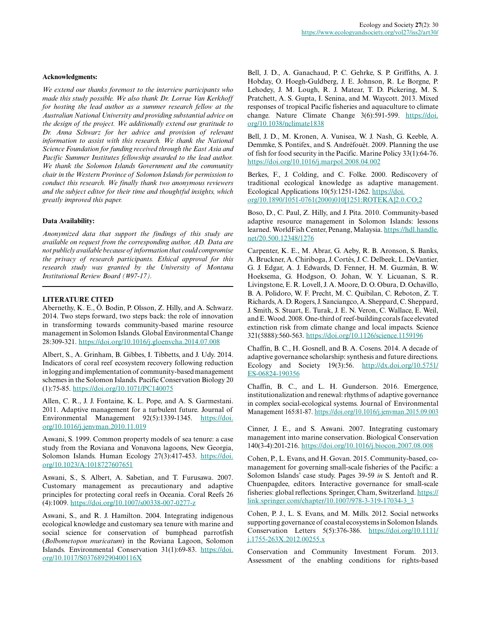#### **Acknowledgments:**

*We extend our thanks foremost to the interview participants who made this study possible. We also thank Dr. Lorrae Van Kerkhoff for hosting the lead author as a summer research fellow at the Australian National University and providing substantial advice on the design of the project. We additionally extend our gratitude to Dr. Anna Schwarz for her advice and provision of relevant information to assist with this research. We thank the National Science Foundation for funding received through the East Asia and Pacific Summer Institutes fellowship awarded to the lead author. We thank the Solomon Islands Government and the community chair in the Western Province of Solomon Islands for permission to conduct this research. We finally thank two anonymous reviewers and the subject editor for their time and thoughtful insights, which greatly improved this paper.*

#### **Data Availability:**

*Anonymized data that support the findings of this study are available on request from the corresponding author, AD. Data are not publicly available because of information that could compromise the privacy of research participants. Ethical approval for this research study was granted by the University of Montana Institutional Review Board (#97-17).*

## **LITERATURE CITED**

Abernethy, K. E., Ö. Bodin, P. Olsson, Z. Hilly, and A. Schwarz. 2014. Two steps forward, two steps back: the role of innovation in transforming towards community-based marine resource management in Solomon Islands. Global Environmental Change 28:309-321.<https://doi.org/10.1016/j.gloenvcha.2014.07.008>

Albert, S., A. Grinham, B. Gibbes, I. Tibbetts, and J. Udy. 2014. Indicators of coral reef ecosystem recovery following reduction in logging and implementation of community-based management schemes in the Solomon Islands. Pacific Conservation Biology 20 (1):75-85. <https://doi.org/10.1071/PC140075>

Allen, C. R., J. J. Fontaine, K. L. Pope, and A. S. Garmestani. 2011. Adaptive management for a turbulent future. Journal of Environmental Management 92(5):1339-1345. [https://doi.](https://doi.org/10.1016/j.jenvman.2010.11.019) [org/10.1016/j.jenvman.2010.11.019](https://doi.org/10.1016/j.jenvman.2010.11.019)

Aswani, S. 1999. Common property models of sea tenure: a case study from the Roviana and Vonavona lagoons, New Georgia, Solomon Islands. Human Ecology 27(3):417-453. [https://doi.](https://doi.org/10.1023/A:1018727607651) [org/10.1023/A:1018727607651](https://doi.org/10.1023/A:1018727607651)

Aswani, S., S. Albert, A. Sabetian, and T. Furusawa. 2007. Customary management as precautionary and adaptive principles for protecting coral reefs in Oceania. Coral Reefs 26 (4):1009. <https://doi.org/10.1007/s00338-007-0277-z>

Aswani, S., and R. J. Hamilton. 2004. Integrating indigenous ecological knowledge and customary sea tenure with marine and social science for conservation of bumphead parrotfish (*Bolbometopon muricatum*) in the Roviana Lagoon, Solomon Islands. Environmental Conservation 31(1):69-83. [https://doi.](https://doi.org/10.1017/S037689290400116X) [org/10.1017/S037689290400116X](https://doi.org/10.1017/S037689290400116X) 

Bell, J. D., A. Ganachaud, P. C. Gehrke, S. P. Griffiths, A. J. Hobday, O. Hoegh-Guldberg, J. E. Johnson, R. Le Borgne, P. Lehodey, J. M. Lough, R. J. Matear, T. D. Pickering, M. S. Pratchett, A. S. Gupta, I. Senina, and M. Waycott. 2013. Mixed responses of tropical Pacific fisheries and aquaculture to climate change. Nature Climate Change 3(6):591-599. [https://doi.](https://doi.org/10.1038/nclimate1838) [org/10.1038/nclimate1838](https://doi.org/10.1038/nclimate1838) 

Bell, J. D., M. Kronen, A. Vunisea, W. J. Nash, G. Keeble, A. Demmke, S. Pontifex, and S. Andréfouët. 2009. Planning the use of fish for food security in the Pacific. Marine Policy 33(1):64-76. <https://doi.org/10.1016/j.marpol.2008.04.002>

Berkes, F., J. Colding, and C. Folke. 2000. Rediscovery of traditional ecological knowledge as adaptive management. Ecological Applications 10(5):1251-1262. [https://doi.](https://doi.org/10.1890/1051-0761(2000)010[1251:ROTEKA]2.0.CO;2) [org/10.1890/1051-0761\(2000\)010\[1251:ROTEKA\]2.0.CO;2](https://doi.org/10.1890/1051-0761(2000)010[1251:ROTEKA]2.0.CO;2) 

Boso, D., C. Paul, Z. Hilly, and J. Pita. 2010. Community-based adaptive resource management in Solomon Islands: lessons learned. WorldFish Center, Penang, Malaysia. [https://hdl.handle.](https://hdl.handle.net/20.500.12348/1276) [net/20.500.12348/1276](https://hdl.handle.net/20.500.12348/1276) 

Carpenter, K. E., M. Abrar, G. Aeby, R. B. Aronson, S. Banks, A. Bruckner, A. Chiriboga, J. Cortés, J. C. Delbeek, L. DeVantier, G. J. Edgar, A. J. Edwards, D. Fenner, H. M. Guzmán, B. W. Hoeksema, G. Hodgson, O. Johan, W. Y. Licuanan, S. R. Livingstone, E. R. Lovell, J. A. Moore, D. O. Obura, D. Ochavillo, B. A. Polidoro, W. F. Precht, M. C. Quibilan, C. Reboton, Z. T. Richards, A. D. Rogers, J. Sanciangco, A. Sheppard, C. Sheppard, J. Smith, S. Stuart, E. Turak, J. E. N. Veron, C. Wallace, E. Weil, and E. Wood. 2008. One-third of reef-building corals face elevated extinction risk from climate change and local impacts. Science 321(5888):560-563. <https://doi.org/10.1126/science.1159196>

Chaffin, B. C., H. Gosnell, and B. A. Cosens. 2014. A decade of adaptive governance scholarship: synthesis and future directions. Ecology and Society 19(3):56. [http://dx.doi.org/10.5751/](http://dx.doi.org/10.5751/ES-06824-190356) [ES-06824-190356](http://dx.doi.org/10.5751/ES-06824-190356)

Chaffin, B. C., and L. H. Gunderson. 2016. Emergence, institutionalization and renewal: rhythms of adaptive governance in complex social-ecological systems. Journal of Environmental Management 165:81-87.<https://doi.org/10.1016/j.jenvman.2015.09.003>

Cinner, J. E., and S. Aswani. 2007. Integrating customary management into marine conservation. Biological Conservation 140(3-4):201-216. <https://doi.org/10.1016/j.biocon.2007.08.008>

Cohen, P., L. Evans, and H. Govan. 2015. Community-based, comanagement for governing small-scale fisheries of the Pacific: a Solomon Islands' case study. Pages 39-59 *in* S. Jentoft and R. Chuenpagdee, editors. Interactive governance for small-scale fisheries: global reflections. Springer, Cham, Switzerland. [https://](https://link.springer.com/chapter/10.1007/978-3-319-17034-3_3) [link.springer.com/chapter/10.1007/978-3-319-17034-3\\_3](https://link.springer.com/chapter/10.1007/978-3-319-17034-3_3) 

Cohen, P. J., L. S. Evans, and M. Mills. 2012. Social networks supporting governance of coastal ecosystems in Solomon Islands. Conservation Letters 5(5):376-386. [https://doi.org/10.1111/](https://doi.org/10.1111/j.1755-263X.2012.00255.x) [j.1755-263X.2012.00255.x](https://doi.org/10.1111/j.1755-263X.2012.00255.x) 

Conservation and Community Investment Forum. 2013. Assessment of the enabling conditions for rights-based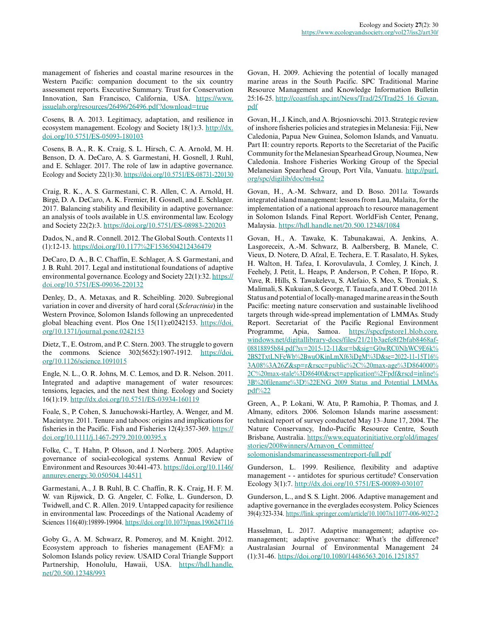management of fisheries and coastal marine resources in the Western Pacific: companion document to the six country assessment reports. Executive Summary. Trust for Conservation Innovation, San Francisco, California, USA. [https://www.](https://www.issuelab.org/resources/26496/26496.pdf?download=true) [issuelab.org/resources/26496/26496.pdf?download=true](https://www.issuelab.org/resources/26496/26496.pdf?download=true) 

Cosens, B. A. 2013. Legitimacy, adaptation, and resilience in ecosystem management. Ecology and Society 18(1):3. [http://dx.](http://dx.doi.org/10.5751/ES-05093-180103) [doi.org/10.5751/ES-05093-180103](http://dx.doi.org/10.5751/ES-05093-180103)

Cosens, B. A., R. K. Craig, S. L. Hirsch, C. A. Arnold, M. H. Benson, D. A. DeCaro, A. S. Garmestani, H. Gosnell, J. Ruhl, and E. Schlager. 2017. The role of law in adaptive governance. Ecology and Society 22(1):30. <https://doi.org/10.5751/ES-08731-220130>

Craig, R. K., A. S. Garmestani, C. R. Allen, C. A. Arnold, H. Birgé, D. A. DeCaro, A. K. Fremier, H. Gosnell, and E. Schlager. 2017. Balancing stability and flexibility in adaptive governance: an analysis of tools available in U.S. environmental law. Ecology and Society 22(2):3. <https://doi.org/10.5751/ES-08983-220203>

Dados, N., and R. Connell. 2012. The Global South. Contexts 11 (1):12-13. <https://doi.org/10.1177%2F1536504212436479>

DeCaro, D. A., B. C. Chaffin, E. Schlager, A. S. Garmestani, and J. B. Ruhl. 2017. Legal and institutional foundations of adaptive environmental governance. Ecology and Society 22(1):32. [https://](https://doi.org/10.5751/ES-09036-220132) [doi.org/10.5751/ES-09036-220132](https://doi.org/10.5751/ES-09036-220132)

Denley, D., A. Metaxas, and R. Scheibling. 2020. Subregional variation in cover and diversity of hard coral (*Scleractinia*) in the Western Province, Solomon Islands following an unprecedented global bleaching event. Plos One 15(11):e0242153. [https://doi.](https://doi.org/10.1371/journal.pone.0242153) [org/10.1371/journal.pone.0242153](https://doi.org/10.1371/journal.pone.0242153) 

Dietz, T., E. Ostrom, and P. C. Stern. 2003. The struggle to govern the commons. Science 302(5652):1907-1912. [https://doi.](https://doi.org/10.1126/science.1091015) [org/10.1126/science.1091015](https://doi.org/10.1126/science.1091015)

Engle, N. L., O. R. Johns, M. C. Lemos, and D. R. Nelson. 2011. Integrated and adaptive management of water resources: tensions, legacies, and the next best thing. Ecology and Society 16(1):19. <http://dx.doi.org/10.5751/ES-03934-160119>

Foale, S., P. Cohen, S. Januchowski-Hartley, A. Wenger, and M. Macintyre. 2011. Tenure and taboos: origins and implications for fisheries in the Pacific. Fish and Fisheries 12(4):357-369. [https://](https://doi.org/10.1111/j.1467-2979.2010.00395.x) [doi.org/10.1111/j.1467-2979.2010.00395.x](https://doi.org/10.1111/j.1467-2979.2010.00395.x)

Folke, C., T. Hahn, P. Olsson, and J. Norberg. 2005. Adaptive governance of social-ecological systems. Annual Review of Environment and Resources 30:441-473. [https://doi.org/10.1146/](https://doi.org/10.1146/annurev.energy.30.050504.144511) [annurev.energy.30.050504.144511](https://doi.org/10.1146/annurev.energy.30.050504.144511) 

Garmestani, A., J. B. Ruhl, B. C. Chaffin, R. K. Craig, H. F. M. W. van Rijswick, D. G. Angeler, C. Folke, L. Gunderson, D. Twidwell, and C. R. Allen. 2019. Untapped capacity for resilience in environmental law. Proceedings of the National Academy of Sciences 116(40):19899-19904.<https://doi.org/10.1073/pnas.1906247116>

Goby G., A. M. Schwarz, R. Pomeroy, and M. Knight. 2012. Ecosystem approach to fisheries management (EAFM): a Solomon Islands policy review. USAID Coral Triangle Support Partnership, Honolulu, Hawaii, USA. [https://hdl.handle.](https://hdl.handle.net/20.500.12348/993) [net/20.500.12348/993](https://hdl.handle.net/20.500.12348/993)

Govan, H. 2009. Achieving the potential of locally managed marine areas in the South Pacific. SPC Traditional Marine Resource Management and Knowledge Information Bulletin 25:16-25. [http://coastfish.spc.int/News/Trad/25/Trad25\\_16\\_Govan.](http://coastfish.spc.int/News/Trad/25/Trad25_16_Govan.pdf) [pdf](http://coastfish.spc.int/News/Trad/25/Trad25_16_Govan.pdf)

Govan, H., J. Kinch, and A. Brjosniovschi. 2013. Strategic review of inshore fisheries policies and strategies in Melanesia: Fiji, New Caledonia, Papua New Guinea, Solomon Islands, and Vanuatu. Part II: country reports. Reports to the Secretariat of the Pacific Community for the Melanesian Spearhead Group, Noumea, New Caledonia. Inshore Fisheries Working Group of the Special Melanesian Spearhead Group, Port Vila, Vanuatu. [http://purl.](http://purl.org/spc/digilib/doc/m4sa2) [org/spc/digilib/doc/m4sa2](http://purl.org/spc/digilib/doc/m4sa2) 

Govan, H., A.-M. Schwarz, and D. Boso. 2011*a.* Towards integrated island management: lessons from Lau, Malaita, for the implementation of a national approach to resource management in Solomon Islands. Final Report. WorldFish Center, Penang, Malaysia. <https://hdl.handle.net/20.500.12348/1084>

Govan, H., A. Tawake, K. Tabunakawai, A. Jenkins, A. Lasgoreceix, A.-M. Schwarz, B. Aalbersberg, B. Manele, C. Vieux, D. Notere, D. Afzal, E. Techera, E. T. Rasalato, H. Sykes, H. Walton, H. Tafea, I. Korovulavula, J. Comley, J. Kinch, J. Feehely, J. Petit, L. Heaps, P. Anderson, P. Cohen, P. Ifopo, R. Vave, R. Hills, S. Tawakelevu, S. Alefaio, S. Meo, S. Troniak, S. Malimali, S. Kukuian, S. George, T. Tauaefa, and T. Obed. 2011*b.* Status and potential of locally-managed marine areas in the South Pacific: meeting nature conservation and sustainable livelihood targets through wide-spread implementation of LMMAs. Study Report. Secretariat of the Pacific Regional Environment Programme, Apia, Samoa. [https://spccfpstore1.blob.core.](https://spccfpstore1.blob.core.windows.net/digitallibrary-docs/files/21/21b3aefe8f2bfab8468af08818895b84.pdf?sv=2015-12-11&sr=b&sig=G0wRC0NhWC9E6k%2BS2TxtLNFeWb%2BwuOKinLmXf63iDgM%3D&se=2022-11-15T16%3A08%3A26Z&sp=r&rscc=public%2C%20max-age%3D864000%2C%20max-stale%3D86400&rsct=application%2Fpdf&rscd=inline%3B%20filename%3D%22ENG_2009_Status_and_Potential_LMMAs.pdf%22) [windows.net/digitallibrary-docs/files/21/21b3aefe8f2bfab8468af-](https://spccfpstore1.blob.core.windows.net/digitallibrary-docs/files/21/21b3aefe8f2bfab8468af08818895b84.pdf?sv=2015-12-11&sr=b&sig=G0wRC0NhWC9E6k%2BS2TxtLNFeWb%2BwuOKinLmXf63iDgM%3D&se=2022-11-15T16%3A08%3A26Z&sp=r&rscc=public%2C%20max-age%3D864000%2C%20max-stale%3D86400&rsct=application%2Fpdf&rscd=inline%3B%20filename%3D%22ENG_2009_Status_and_Potential_LMMAs.pdf%22)[08818895b84.pdf?sv=2015-12-11&sr=b&sig=G0wRC0NhWC9E6k%](https://spccfpstore1.blob.core.windows.net/digitallibrary-docs/files/21/21b3aefe8f2bfab8468af08818895b84.pdf?sv=2015-12-11&sr=b&sig=G0wRC0NhWC9E6k%2BS2TxtLNFeWb%2BwuOKinLmXf63iDgM%3D&se=2022-11-15T16%3A08%3A26Z&sp=r&rscc=public%2C%20max-age%3D864000%2C%20max-stale%3D86400&rsct=application%2Fpdf&rscd=inline%3B%20filename%3D%22ENG_2009_Status_and_Potential_LMMAs.pdf%22) [2BS2TxtLNFeWb%2BwuOKinLmXf63iDgM%3D&se=2022-11-15T16%](https://spccfpstore1.blob.core.windows.net/digitallibrary-docs/files/21/21b3aefe8f2bfab8468af08818895b84.pdf?sv=2015-12-11&sr=b&sig=G0wRC0NhWC9E6k%2BS2TxtLNFeWb%2BwuOKinLmXf63iDgM%3D&se=2022-11-15T16%3A08%3A26Z&sp=r&rscc=public%2C%20max-age%3D864000%2C%20max-stale%3D86400&rsct=application%2Fpdf&rscd=inline%3B%20filename%3D%22ENG_2009_Status_and_Potential_LMMAs.pdf%22) [3A08%3A26Z&sp=r&rscc=public%2C%20max-age%3D864000%](https://spccfpstore1.blob.core.windows.net/digitallibrary-docs/files/21/21b3aefe8f2bfab8468af08818895b84.pdf?sv=2015-12-11&sr=b&sig=G0wRC0NhWC9E6k%2BS2TxtLNFeWb%2BwuOKinLmXf63iDgM%3D&se=2022-11-15T16%3A08%3A26Z&sp=r&rscc=public%2C%20max-age%3D864000%2C%20max-stale%3D86400&rsct=application%2Fpdf&rscd=inline%3B%20filename%3D%22ENG_2009_Status_and_Potential_LMMAs.pdf%22) [2C%20max-stale%3D86400&rsct=application%2Fpdf&rscd=inline%](https://spccfpstore1.blob.core.windows.net/digitallibrary-docs/files/21/21b3aefe8f2bfab8468af08818895b84.pdf?sv=2015-12-11&sr=b&sig=G0wRC0NhWC9E6k%2BS2TxtLNFeWb%2BwuOKinLmXf63iDgM%3D&se=2022-11-15T16%3A08%3A26Z&sp=r&rscc=public%2C%20max-age%3D864000%2C%20max-stale%3D86400&rsct=application%2Fpdf&rscd=inline%3B%20filename%3D%22ENG_2009_Status_and_Potential_LMMAs.pdf%22) [3B%20filename%3D%22ENG\\_2009\\_Status\\_and\\_Potential\\_LMMAs.](https://spccfpstore1.blob.core.windows.net/digitallibrary-docs/files/21/21b3aefe8f2bfab8468af08818895b84.pdf?sv=2015-12-11&sr=b&sig=G0wRC0NhWC9E6k%2BS2TxtLNFeWb%2BwuOKinLmXf63iDgM%3D&se=2022-11-15T16%3A08%3A26Z&sp=r&rscc=public%2C%20max-age%3D864000%2C%20max-stale%3D86400&rsct=application%2Fpdf&rscd=inline%3B%20filename%3D%22ENG_2009_Status_and_Potential_LMMAs.pdf%22) [pdf%22](https://spccfpstore1.blob.core.windows.net/digitallibrary-docs/files/21/21b3aefe8f2bfab8468af08818895b84.pdf?sv=2015-12-11&sr=b&sig=G0wRC0NhWC9E6k%2BS2TxtLNFeWb%2BwuOKinLmXf63iDgM%3D&se=2022-11-15T16%3A08%3A26Z&sp=r&rscc=public%2C%20max-age%3D864000%2C%20max-stale%3D86400&rsct=application%2Fpdf&rscd=inline%3B%20filename%3D%22ENG_2009_Status_and_Potential_LMMAs.pdf%22)

Green, A., P. Lokani, W. Atu, P. Ramohia, P. Thomas, and J. Almany, editors. 2006. Solomon Islands marine assessment: technical report of survey conducted May 13–June 17, 2004. The Nature Conservancy, Indo-Pacific Resource Centre, South Brisbane, Australia. [https://www.equatorinitiative.org/old/images/](https://www.equatorinitiative.org/old/images/stories/2008winners/Arnavon_Committee/solomonislandsmarineassessmentreport-full.pdf) [stories/2008winners/Arnavon\\_Committee/](https://www.equatorinitiative.org/old/images/stories/2008winners/Arnavon_Committee/solomonislandsmarineassessmentreport-full.pdf) [solomonislandsmarineassessmentreport-full.pdf](https://www.equatorinitiative.org/old/images/stories/2008winners/Arnavon_Committee/solomonislandsmarineassessmentreport-full.pdf)

Gunderson, L. 1999. Resilience, flexibility and adaptive management - - antidotes for spurious certitude? Conservation Ecology 3(1):7.<http://dx.doi.org/10.5751/ES-00089-030107>

Gunderson, L., and S. S. Light. 2006. Adaptive management and adaptive governance in the everglades ecosystem. Policy Sciences 39(4):323-334. <https://link.springer.com/article/10.1007/s11077-006-9027-2>

Hasselman, L. 2017. Adaptive management; adaptive comanagement; adaptive governance: What's the difference? Australasian Journal of Environmental Management 24 (1):31-46. <https://doi.org/10.1080/14486563.2016.1251857>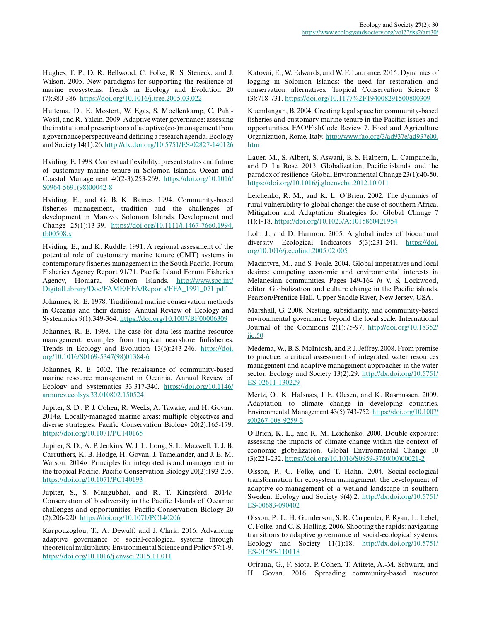Hughes, T. P., D. R. Bellwood, C. Folke, R. S. Steneck, and J. Wilson. 2005. New paradigms for supporting the resilience of marine ecosystems. Trends in Ecology and Evolution 20 (7):380-386. <https://doi.org/10.1016/j.tree.2005.03.022>

Huitema, D., E. Mostert, W. Egas, S. Moellenkamp, C. Pahl-Wostl, and R. Yalcin. 2009. Adaptive water governance: assessing the institutional prescriptions of adaptive (co-)management from a governance perspective and defining a research agenda. Ecology and Society 14(1):26.<http://dx.doi.org/10.5751/ES-02827-140126>

Hviding, E. 1998. Contextual flexibility: present status and future of customary marine tenure in Solomon Islands. Ocean and Coastal Management 40(2-3):253-269. [https://doi.org/10.1016/](https://doi.org/10.1016/S0964-5691(98)00042-8) [S0964-5691\(98\)00042-8](https://doi.org/10.1016/S0964-5691(98)00042-8) 

Hviding, E., and G. B. K. Baines. 1994. Community-based fisheries management, tradition and the challenges of development in Marovo, Solomon Islands. Development and Change 25(1):13-39. [https://doi.org/10.1111/j.1467-7660.1994.](https://doi.org/10.1111/j.1467-7660.1994.tb00508.x) [tb00508.x](https://doi.org/10.1111/j.1467-7660.1994.tb00508.x)

Hviding, E., and K. Ruddle. 1991. A regional assessment of the potential role of customary marine tenure (CMT) systems in contemporary fisheries management in the South Pacific. Forum Fisheries Agency Report 91/71. Pacific Island Forum Fisheries Agency, Honiara, Solomon Islands. [http://www.spc.int/](http://www.spc.int/DigitalLibrary/Doc/FAME/FFA/Reports/FFA_1991_071.pdf) [DigitalLibrary/Doc/FAME/FFA/Reports/FFA\\_1991\\_071.pdf](http://www.spc.int/DigitalLibrary/Doc/FAME/FFA/Reports/FFA_1991_071.pdf)

Johannes, R. E. 1978. Traditional marine conservation methods in Oceania and their demise. Annual Review of Ecology and Systematics 9(1):349-364. <https://doi.org/10.1007/BF00006309>

Johannes, R. E. 1998. The case for data-less marine resource management: examples from tropical nearshore finfisheries. Trends in Ecology and Evolution 13(6):243-246. [https://doi.](https://doi.org/10.1016/S0169-5347(98)01384-6) [org/10.1016/S0169-5347\(98\)01384-6](https://doi.org/10.1016/S0169-5347(98)01384-6)

Johannes, R. E. 2002. The renaissance of community-based marine resource management in Oceania. Annual Review of Ecology and Systematics 33:317-340. [https://doi.org/10.1146/](https://doi.org/10.1146/annurev.ecolsys.33.010802.150524) [annurev.ecolsys.33.010802.150524](https://doi.org/10.1146/annurev.ecolsys.33.010802.150524) 

Jupiter, S. D., P. J. Cohen, R. Weeks, A. Tawake, and H. Govan. 2014*a.* Locally-managed marine areas: multiple objectives and diverse strategies. Pacific Conservation Biology 20(2):165-179. <https://doi.org/10.1071/PC140165>

Jupiter, S. D., A. P. Jenkins, W. J. L. Long, S. L. Maxwell, T. J. B. Carruthers, K. B. Hodge, H. Govan, J. Tamelander, and J. E. M. Watson. 2014*b.* Principles for integrated island management in the tropical Pacific. Pacific Conservation Biology 20(2):193-205. <https://doi.org/10.1071/PC140193>

Jupiter, S., S. Mangubhai, and R. T. Kingsford. 2014*c.* Conservation of biodiversity in the Pacific Islands of Oceania: challenges and opportunities. Pacific Conservation Biology 20 (2):206-220. <https://doi.org/10.1071/PC140206>

Karpouzoglou, T., A. Dewulf, and J. Clark. 2016. Advancing adaptive governance of social-ecological systems through theoretical multiplicity. Environmental Science and Policy 57:1-9. <https://doi.org/10.1016/j.envsci.2015.11.011>

Katovai, E., W. Edwards, and W. F. Laurance. 2015. Dynamics of logging in Solomon Islands: the need for restoration and conservation alternatives. Tropical Conservation Science 8 (3):718-731. <https://doi.org/10.1177%2F194008291500800309>

Kuemlangan, B. 2004. Creating legal space for community-based fisheries and customary marine tenure in the Pacific: issues and opportunities. FAO/FishCode Review 7. Food and Agriculture Organization, Rome, Italy. [http://www.fao.org/3/ad937e/ad937e00.](http://www.fao.org/3/ad937e/ad937e00.htm) [htm](http://www.fao.org/3/ad937e/ad937e00.htm)

Lauer, M., S. Albert, S. Aswani, B. S. Halpern, L. Campanella, and D. La Rose. 2013. Globalization, Pacific islands, and the paradox of resilience. Global Environmental Change 23(1):40-50. <https://doi.org/10.1016/j.gloenvcha.2012.10.011>

Leichenko, R. M., and K. L. O'Brien. 2002. The dynamics of rural vulnerability to global change: the case of southern Africa. Mitigation and Adaptation Strategies for Global Change 7 (1):1-18.<https://doi.org/10.1023/A:1015860421954>

Loh, J., and D. Harmon. 2005. A global index of biocultural diversity. Ecological Indicators 5(3):231-241. [https://doi.](https://doi.org/10.1016/j.ecolind.2005.02.005) [org/10.1016/j.ecolind.2005.02.005](https://doi.org/10.1016/j.ecolind.2005.02.005) 

Macintyre, M., and S. Foale. 2004. Global imperatives and local desires: competing economic and environmental interests in Melanesian communities. Pages 149-164 *in* V. S. Lockwood, editor. Globalization and culture change in the Pacific islands. Pearson/Prentice Hall, Upper Saddle River, New Jersey, USA.

Marshall, G. 2008. Nesting, subsidiarity, and community-based environmental governance beyond the local scale. International Journal of the Commons 2(1):75-97. [http://doi.org/10.18352/](http://doi.org/10.18352/ijc.50) iic.50

Medema, W., B. S. McIntosh, and P. J. Jeffrey. 2008. From premise to practice: a critical assessment of integrated water resources management and adaptive management approaches in the water sector. Ecology and Society 13(2):29. [http://dx.doi.org/10.5751/](http://dx.doi.org/10.5751/ES-02611-130229) [ES-02611-130229](http://dx.doi.org/10.5751/ES-02611-130229)

Mertz, O., K. Halsnæs, J. E. Olesen, and K. Rasmussen. 2009. Adaptation to climate change in developing countries. Environmental Management 43(5):743-752. [https://doi.org/10.1007/](https://doi.org/10.1007/s00267-008-9259-3) [s00267-008-9259-3](https://doi.org/10.1007/s00267-008-9259-3) 

O'Brien, K. L., and R. M. Leichenko. 2000. Double exposure: assessing the impacts of climate change within the context of economic globalization. Global Environmental Change 10 (3):221-232. [https://doi.org/10.1016/S0959-3780\(00\)00021-2](https://doi.org/10.1016/S0959-3780(00)00021-2)

Olsson, P., C. Folke, and T. Hahn. 2004. Social-ecological transformation for ecosystem management: the development of adaptive co-management of a wetland landscape in southern Sweden. Ecology and Society 9(4):2. [http://dx.doi.org/10.5751/](http://dx.doi.org/10.5751/ES-00683-090402) [ES-00683-090402](http://dx.doi.org/10.5751/ES-00683-090402)

Olsson, P., L. H. Gunderson, S. R. Carpenter, P. Ryan, L. Lebel, C. Folke, and C. S. Holling. 2006. Shooting the rapids: navigating transitions to adaptive governance of social-ecological systems. Ecology and Society 11(1):18. [http://dx.doi.org/10.5751/](http://dx.doi.org/10.5751/ES-01595-110118) [ES-01595-110118](http://dx.doi.org/10.5751/ES-01595-110118)

Orirana, G., F. Siota, P. Cohen, T. Atitete, A.-M. Schwarz, and H. Govan. 2016. Spreading community-based resource